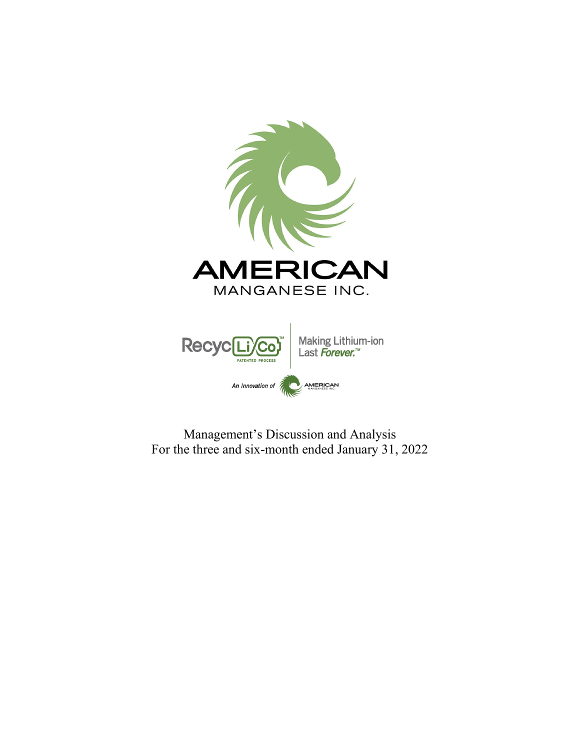

Management's Discussion and Analysis For the three and six-month ended January 31, 2022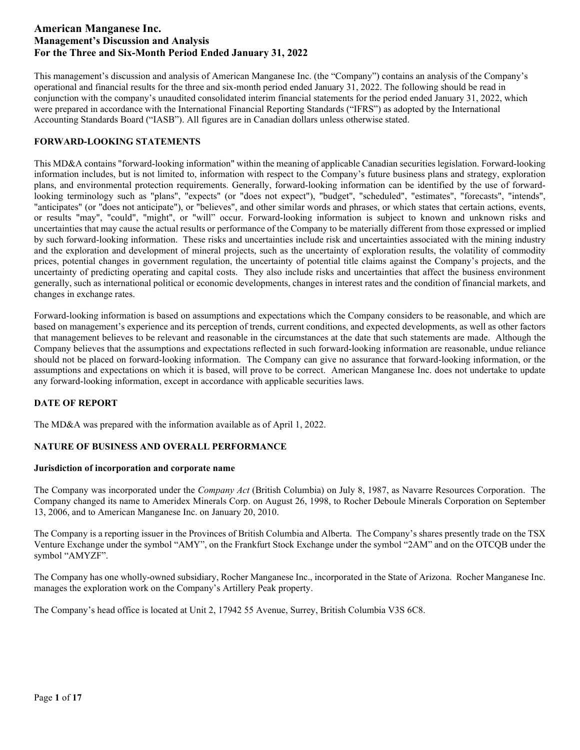This management's discussion and analysis of American Manganese Inc. (the "Company") contains an analysis of the Company's operational and financial results for the three and six-month period ended January 31, 2022. The following should be read in conjunction with the company's unaudited consolidated interim financial statements for the period ended January 31, 2022, which were prepared in accordance with the International Financial Reporting Standards ("IFRS") as adopted by the International Accounting Standards Board ("IASB"). All figures are in Canadian dollars unless otherwise stated.

## **FORWARD-LOOKING STATEMENTS**

This MD&A contains "forward-looking information" within the meaning of applicable Canadian securities legislation. Forward-looking information includes, but is not limited to, information with respect to the Company's future business plans and strategy, exploration plans, and environmental protection requirements. Generally, forward-looking information can be identified by the use of forwardlooking terminology such as "plans", "expects" (or "does not expect"), "budget", "scheduled", "estimates", "forecasts", "intends", "anticipates" (or "does not anticipate"), or "believes", and other similar words and phrases, or which states that certain actions, events, or results "may", "could", "might", or "will" occur. Forward-looking information is subject to known and unknown risks and uncertainties that may cause the actual results or performance of the Company to be materially different from those expressed or implied by such forward-looking information. These risks and uncertainties include risk and uncertainties associated with the mining industry and the exploration and development of mineral projects, such as the uncertainty of exploration results, the volatility of commodity prices, potential changes in government regulation, the uncertainty of potential title claims against the Company's projects, and the uncertainty of predicting operating and capital costs. They also include risks and uncertainties that affect the business environment generally, such as international political or economic developments, changes in interest rates and the condition of financial markets, and changes in exchange rates.

Forward-looking information is based on assumptions and expectations which the Company considers to be reasonable, and which are based on management's experience and its perception of trends, current conditions, and expected developments, as well as other factors that management believes to be relevant and reasonable in the circumstances at the date that such statements are made. Although the Company believes that the assumptions and expectations reflected in such forward-looking information are reasonable, undue reliance should not be placed on forward-looking information. The Company can give no assurance that forward-looking information, or the assumptions and expectations on which it is based, will prove to be correct. American Manganese Inc. does not undertake to update any forward-looking information, except in accordance with applicable securities laws.

## **DATE OF REPORT**

The MD&A was prepared with the information available as of April 1, 2022.

## **NATURE OF BUSINESS AND OVERALL PERFORMANCE**

## **Jurisdiction of incorporation and corporate name**

The Company was incorporated under the *Company Act* (British Columbia) on July 8, 1987, as Navarre Resources Corporation. The Company changed its name to Ameridex Minerals Corp. on August 26, 1998, to Rocher Deboule Minerals Corporation on September 13, 2006, and to American Manganese Inc. on January 20, 2010.

The Company is a reporting issuer in the Provinces of British Columbia and Alberta. The Company's shares presently trade on the TSX Venture Exchange under the symbol "AMY", on the Frankfurt Stock Exchange under the symbol "2AM" and on the OTCQB under the symbol "AMYZF".

The Company has one wholly-owned subsidiary, Rocher Manganese Inc., incorporated in the State of Arizona. Rocher Manganese Inc. manages the exploration work on the Company's Artillery Peak property.

The Company's head office is located at Unit 2, 17942 55 Avenue, Surrey, British Columbia V3S 6C8.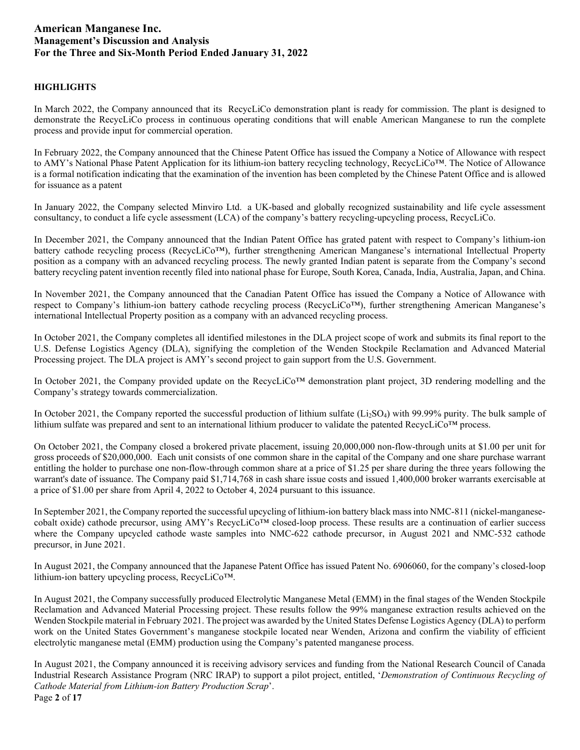## **HIGHLIGHTS**

In March 2022, the Company announced that its RecycLiCo demonstration plant is ready for commission. The plant is designed to demonstrate the RecycLiCo process in continuous operating conditions that will enable American Manganese to run the complete process and provide input for commercial operation.

In February 2022, the Company announced that the Chinese Patent Office has issued the Company a Notice of Allowance with respect to AMY's National Phase Patent Application for its lithium-ion battery recycling technology, RecycLiCo™. The Notice of Allowance is a formal notification indicating that the examination of the invention has been completed by the Chinese Patent Office and is allowed for issuance as a patent

In January 2022, the Company selected Minviro Ltd. a UK-based and globally recognized sustainability and life cycle assessment consultancy, to conduct a life cycle assessment (LCA) of the company's battery recycling-upcycling process, RecycLiCo.

In December 2021, the Company announced that the Indian Patent Office has grated patent with respect to Company's lithium-ion battery cathode recycling process (RecycLiCo™), further strengthening American Manganese's international Intellectual Property position as a company with an advanced recycling process. The newly granted Indian patent is separate from the Company's second battery recycling patent invention recently [filed into national phase](https://americanmanganeseinc.com/american-manganese-files-national-phase-patent-applications-for-the-recyclico-lithium-ion-battery-recycling-process/) for Europe, South Korea, Canada, India, Australia, Japan, and China.

In November 2021, the Company announced that the Canadian Patent Office has issued the Company a Notice of Allowance with respect to Company's lithium-ion battery cathode recycling process (RecycLiCo™), further strengthening American Manganese's international Intellectual Property position as a company with an advanced recycling process.

In October 2021, the Company completes all identified milestones in the DLA project scope of work and submits its final report to the U.S. Defense Logistics Agency (DLA), signifying the completion of the Wenden Stockpile Reclamation and Advanced Material Processing project. The DLA project is AMY's second project to gain support from the U.S. Government.

In October 2021, the Company provided update on the RecycLiCo™ demonstration plant project, 3D rendering modelling and the Company's strategy towards commercialization.

In October 2021, the Company reported the successful production of lithium sulfate (Li<sub>2</sub>SO<sub>4</sub>) with 99.99% purity. The bulk sample of lithium sulfate was prepared and sent to an international lithium producer to validate the patented RecycLiCo™ process.

On October 2021, the Company closed a brokered private placement, issuing 20,000,000 non-flow-through units at \$1.00 per unit for gross proceeds of \$20,000,000. Each unit consists of one common share in the capital of the Company and one share purchase warrant entitling the holder to purchase one non-flow-through common share at a price of \$1.25 per share during the three years following the warrant's date of issuance. The Company paid \$1,714,768 in cash share issue costs and issued 1,400,000 broker warrants exercisable at a price of \$1.00 per share from April 4, 2022 to October 4, 2024 pursuant to this issuance.

In September 2021, the Company reported the successful upcycling of lithium-ion battery black mass into NMC-811 (nickel-manganesecobalt oxide) cathode precursor, using AMY's RecycLiCo™ closed-loop process. These results are a continuation of earlier success where the Company upcycled cathode waste samples into NMC-622 cathode precursor, in August 2021 and NMC-532 cathode precursor, in June 2021.

In August 2021, the Company announced that the Japanese Patent Office has issued Patent No. 6906060, for the company's closed-loop lithium-ion battery upcycling process, RecycLiCo™.

In August 2021, the Company successfully produced Electrolytic Manganese Metal (EMM) in the final stages of the Wenden Stockpile Reclamation and Advanced Material Processing project. These results follow the 99% manganese extraction results achieved on the Wenden Stockpile material in February 2021. The project was awarded by the United States Defense Logistics Agency (DLA) to perform work on the United States Government's manganese stockpile located near Wenden, Arizona and confirm the viability of efficient electrolytic manganese metal (EMM) production using the Company's patented manganese process.

Page **2** of **17** In August 2021, the Company announced it is receiving advisory services and funding from the National Research Council of Canada Industrial Research Assistance Program (NRC IRAP) to support a pilot project, entitled, '*Demonstration of Continuous Recycling of Cathode Material from Lithium-ion Battery Production Scrap*'.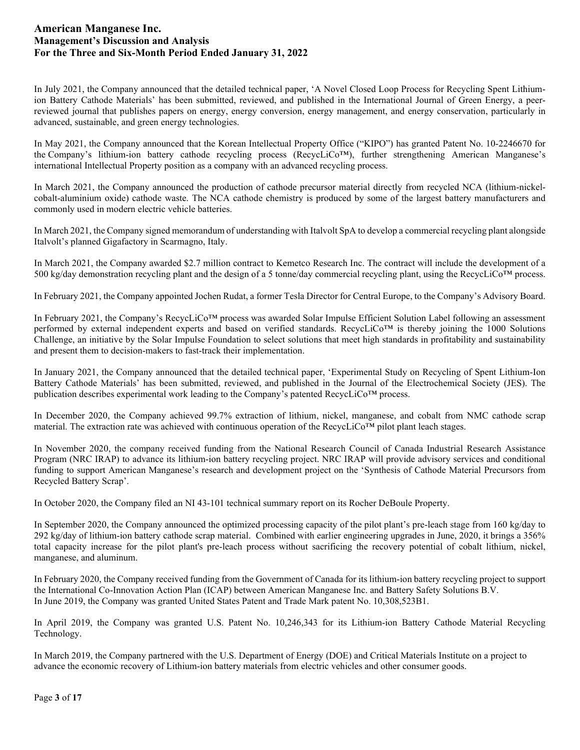In July 2021, the Company announced that the detailed technical paper, 'A Novel Closed Loop Process for Recycling Spent Lithiumion Battery Cathode Materials' has been submitted, reviewed, and published in the International Journal of Green Energy, a peerreviewed journal that publishes papers on energy, energy conversion, energy management, and energy conservation, particularly in advanced, sustainable, and green energy technologies.

In May 2021, the Company announced that the Korean Intellectual Property Office ("KIPO") has granted Patent No. 10-2246670 for the Company's lithium-ion battery cathode recycling process (RecycLiCo™), further strengthening American Manganese's international Intellectual Property position as a company with an advanced recycling process.

In March 2021, the Company announced the production of cathode precursor material directly from recycled NCA (lithium-nickelcobalt-aluminium oxide) cathode waste. The NCA cathode chemistry is produced by some of the largest battery manufacturers and commonly used in modern electric vehicle batteries.

In March 2021, the Company signed memorandum of understanding with Italvolt SpA to develop a commercial recycling plant alongside Italvolt's planned Gigafactory in Scarmagno, Italy.

In March 2021, the Company awarded \$2.7 million contract to Kemetco Research Inc. The contract will include the development of a 500 kg/day demonstration recycling plant and the design of a 5 tonne/day commercial recycling plant, using the RecycLiCo<sup>TM</sup> process.

In February 2021, the Company appointed Jochen Rudat, a former Tesla Director for Central Europe, to the Company's Advisory Board.

In February 2021, the Company's RecycLiCo™ process was awarded Solar Impulse Efficient Solution Label following an assessment performed by external independent experts and based on verified standards. RecycLiCo™ is thereby joining the 1000 Solutions Challenge, an initiative by the Solar Impulse Foundation to select solutions that meet high standards in profitability and sustainability and present them to decision-makers to fast-track their implementation.

In January 2021, the Company announced that the detailed technical paper, 'Experimental Study on Recycling of Spent Lithium-Ion Battery Cathode Materials' has been submitted, reviewed, and published in the Journal of the Electrochemical Society (JES). The publication describes experimental work leading to the Company's patented RecycLiCo™ process.

In December 2020, the Company achieved 99.7% extraction of lithium, nickel, manganese, and cobalt from NMC cathode scrap material. The extraction rate was achieved with continuous operation of the RecycLiCo™ pilot plant leach stages.

In November 2020, the company received funding from the National Research Council of Canada Industrial Research Assistance Program (NRC IRAP) to advance its lithium-ion battery recycling project. NRC IRAP will provide advisory services and conditional funding to support American Manganese's research and development project on the 'Synthesis of Cathode Material Precursors from Recycled Battery Scrap'.

In October 2020, the Company filed an NI 43-101 technical summary report on its Rocher DeBoule Property.

In September 2020, the Company announced the optimized processing capacity of the pilot plant's pre-leach stage from 160 kg/day to 292 kg/day of lithium-ion battery cathode scrap material. Combined with earlier engineering upgrades in June, 2020, it brings a 356% total capacity increase for the pilot plant's pre-leach process without sacrificing the recovery potential of cobalt lithium, nickel, manganese, and aluminum.

In February 2020, the Company received funding from the Government of Canada for its lithium-ion battery recycling project to support the International Co-Innovation Action Plan (ICAP) between American Manganese Inc. and Battery Safety Solutions B.V. In June 2019, the Company was granted United States Patent and Trade Mark patent No. 10,308,523B1.

In April 2019, the Company was granted U.S. Patent No. 10,246,343 for its Lithium-ion Battery Cathode Material Recycling Technology.

In March 2019, the Company partnered with the U.S. Department of Energy (DOE) and Critical Materials Institute on a project to advance the economic recovery of Lithium-ion battery materials from electric vehicles and other consumer goods.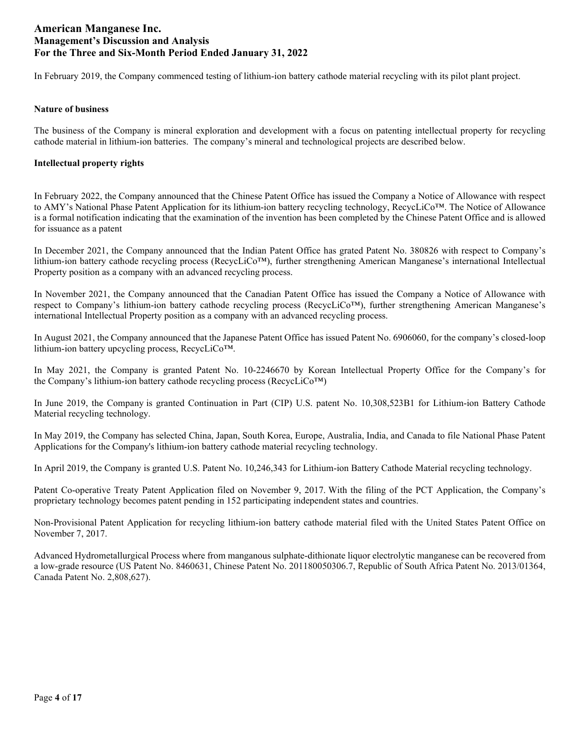In February 2019, the Company commenced testing of lithium-ion battery cathode material recycling with its pilot plant project.

### **Nature of business**

The business of the Company is mineral exploration and development with a focus on patenting intellectual property for recycling cathode material in lithium-ion batteries. The company's mineral and technological projects are described below.

### **Intellectual property rights**

In February 2022, the Company announced that the Chinese Patent Office has issued the Company a Notice of Allowance with respect to AMY's National Phase Patent Application for its lithium-ion battery recycling technology, RecycLiCo™. The Notice of Allowance is a formal notification indicating that the examination of the invention has been completed by the Chinese Patent Office and is allowed for issuance as a patent

In December 2021, the Company announced that the Indian Patent Office has grated Patent No. 380826 with respect to Company's lithium-ion battery cathode recycling process (RecycLiCo™), further strengthening American Manganese's international Intellectual Property position as a company with an advanced recycling process.

In November 2021, the Company announced that the Canadian Patent Office has issued the Company a Notice of Allowance with respect to Company's lithium-ion battery cathode recycling process (RecycLiCo™), further strengthening American Manganese's international Intellectual Property position as a company with an advanced recycling process.

In August 2021, the Company announced that the Japanese Patent Office has issued Patent No. 6906060, for the company's closed-loop lithium-ion battery upcycling process, RecycLiCo™.

In May 2021, the Company is granted Patent No. 10-2246670 by Korean Intellectual Property Office for the Company's for the Company's lithium-ion battery cathode recycling process (RecycLiCo™)

In June 2019, the Company is granted Continuation in Part (CIP) U.S. patent No. 10,308,523B1 for Lithium-ion Battery Cathode Material recycling technology.

In May 2019, the Company has selected China, Japan, South Korea, Europe, Australia, India, and Canada to file National Phase Patent Applications for the Company's lithium-ion battery cathode material recycling technology.

In April 2019, the Company is granted U.S. Patent No. 10,246,343 for Lithium-ion Battery Cathode Material recycling technology.

Patent Co-operative Treaty Patent Application filed on November 9, 2017. With the filing of the PCT Application, the Company's proprietary technology becomes patent pending in 152 participating independent states and countries.

Non-Provisional Patent Application for recycling lithium-ion battery cathode material filed with the United States Patent Office on November 7, 2017.

Advanced Hydrometallurgical Process where from manganous sulphate-dithionate liquor electrolytic manganese can be recovered from a low-grade resource (US Patent No. 8460631, Chinese Patent No. 201180050306.7, Republic of South Africa Patent No. 2013/01364, Canada Patent No. 2,808,627).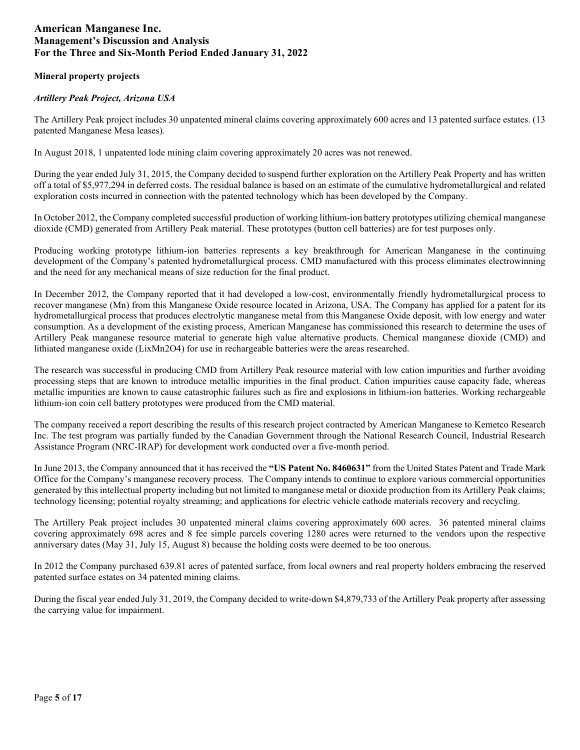## **Mineral property projects**

## *Artillery Peak Project, Arizona USA*

The Artillery Peak project includes 30 unpatented mineral claims covering approximately 600 acres and 13 patented surface estates. (13 patented Manganese Mesa leases).

In August 2018, 1 unpatented lode mining claim covering approximately 20 acres was not renewed.

During the year ended July 31, 2015, the Company decided to suspend further exploration on the Artillery Peak Property and has written off a total of \$5,977,294 in deferred costs. The residual balance is based on an estimate of the cumulative hydrometallurgical and related exploration costs incurred in connection with the patented technology which has been developed by the Company.

In October 2012, the Company completed successful production of working lithium-ion battery prototypes utilizing chemical manganese dioxide (CMD) generated from Artillery Peak material. These prototypes (button cell batteries) are for test purposes only.

Producing working prototype lithium-ion batteries represents a key breakthrough for American Manganese in the continuing development of the Company's patented hydrometallurgical process. CMD manufactured with this process eliminates electrowinning and the need for any mechanical means of size reduction for the final product.

In December 2012, the Company reported that it had developed a low-cost, environmentally friendly hydrometallurgical process to recover manganese (Mn) from this Manganese Oxide resource located in Arizona, USA. The Company has applied for a patent for its hydrometallurgical process that produces electrolytic manganese metal from this Manganese Oxide deposit, with low energy and water consumption. As a development of the existing process, American Manganese has commissioned this research to determine the uses of Artillery Peak manganese resource material to generate high value alternative products. Chemical manganese dioxide (CMD) and lithiated manganese oxide (LixMn2O4) for use in rechargeable batteries were the areas researched.

The research was successful in producing CMD from Artillery Peak resource material with low cation impurities and further avoiding processing steps that are known to introduce metallic impurities in the final product. Cation impurities cause capacity fade, whereas metallic impurities are known to cause catastrophic failures such as fire and explosions in lithium-ion batteries. Working rechargeable lithium-ion coin cell battery prototypes were produced from the CMD material.

The company received a report describing the results of this research project contracted by American Manganese to Kemetco Research Inc. The test program was partially funded by the Canadian Government through the National Research Council, Industrial Research Assistance Program (NRC-IRAP) for development work conducted over a five-month period.

In June 2013, the Company announced that it has received the **"US Patent No. 8460631"** from the United States Patent and Trade Mark Office for the Company's manganese recovery process. The Company intends to continue to explore various commercial opportunities generated by this intellectual property including but not limited to manganese metal or dioxide production from its Artillery Peak claims; technology licensing; potential royalty streaming; and applications for electric vehicle cathode materials recovery and recycling.

The Artillery Peak project includes 30 unpatented mineral claims covering approximately 600 acres. 36 patented mineral claims covering approximately 698 acres and 8 fee simple parcels covering 1280 acres were returned to the vendors upon the respective anniversary dates (May 31, July 15, August 8) because the holding costs were deemed to be too onerous.

In 2012 the Company purchased 639.81 acres of patented surface, from local owners and real property holders embracing the reserved patented surface estates on 34 patented mining claims.

During the fiscal year ended July 31, 2019, the Company decided to write-down \$4,879,733 of the Artillery Peak property after assessing the carrying value for impairment.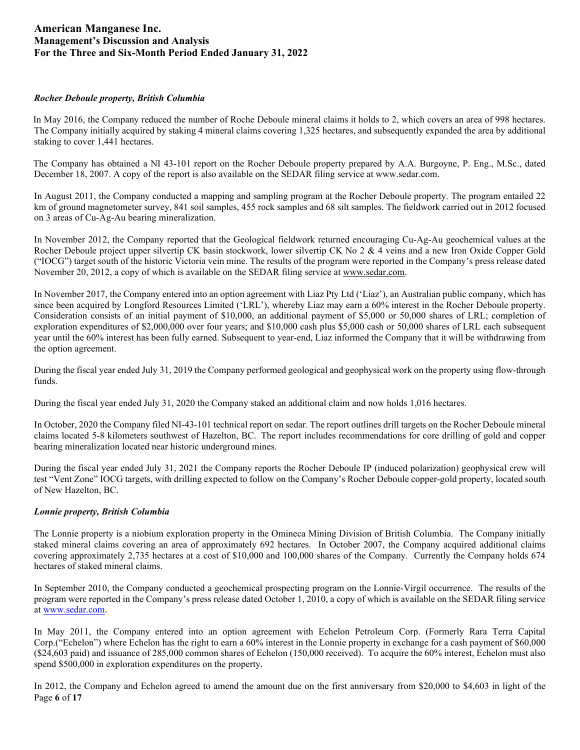### *Rocher Deboule property, British Columbia*

In May 2016, the Company reduced the number of Roche Deboule mineral claims it holds to 2, which covers an area of 998 hectares. The Company initially acquired by staking 4 mineral claims covering 1,325 hectares, and subsequently expanded the area by additional staking to cover 1,441 hectares.

The Company has obtained a NI 43-101 report on the Rocher Deboule property prepared by A.A. Burgoyne, P. Eng., M.Sc., dated December 18, 2007. A copy of the report is also available on the SEDAR filing service at www.sedar.com.

In August 2011, the Company conducted a mapping and sampling program at the Rocher Deboule property. The program entailed 22 km of ground magnetometer survey, 841 soil samples, 455 rock samples and 68 silt samples. The fieldwork carried out in 2012 focused on 3 areas of Cu-Ag-Au bearing mineralization.

In November 2012, the Company reported that the Geological fieldwork returned encouraging Cu-Ag-Au geochemical values at the Rocher Deboule project upper silvertip CK basin stockwork, lower silvertip CK No 2 & 4 veins and a new Iron Oxide Copper Gold ("IOCG") target south of the historic Victoria vein mine. The results of the program were reported in the Company's press release dated November 20, 2012, a copy of which is available on the SEDAR filing service at [www.sedar.com.](http://www.sedar.com/) 

In November 2017, the Company entered into an option agreement with Liaz Pty Ltd ('Liaz'), an Australian public company, which has since been acquired by Longford Resources Limited ('LRL'), whereby Liaz may earn a 60% interest in the Rocher Deboule property. Consideration consists of an initial payment of \$10,000, an additional payment of \$5,000 or 50,000 shares of LRL; completion of exploration expenditures of \$2,000,000 over four years; and \$10,000 cash plus \$5,000 cash or 50,000 shares of LRL each subsequent year until the 60% interest has been fully earned. Subsequent to year-end, Liaz informed the Company that it will be withdrawing from the option agreement.

During the fiscal year ended July 31, 2019 the Company performed geological and geophysical work on the property using flow-through funds.

During the fiscal year ended July 31, 2020 the Company staked an additional claim and now holds 1,016 hectares.

In October, 2020 the Company filed NI-43-101 technical report on sedar. The report outlines drill targets on the Rocher Deboule mineral claims located 5-8 kilometers southwest of Hazelton, BC. The report includes recommendations for core drilling of gold and copper bearing mineralization located near historic underground mines.

During the fiscal year ended July 31, 2021 the Company reports the Rocher Deboule IP (induced polarization) geophysical crew will test "Vent Zone" IOCG targets, with drilling expected to follow on the Company's Rocher Deboule copper-gold property, located south of New Hazelton, BC.

## *Lonnie property, British Columbia*

The Lonnie property is a niobium exploration property in the Omineca Mining Division of British Columbia. The Company initially staked mineral claims covering an area of approximately 692 hectares. In October 2007, the Company acquired additional claims covering approximately 2,735 hectares at a cost of \$10,000 and 100,000 shares of the Company. Currently the Company holds 674 hectares of staked mineral claims.

In September 2010, the Company conducted a geochemical prospecting program on the Lonnie-Virgil occurrence. The results of the program were reported in the Company's press release dated October 1, 2010, a copy of which is available on the SEDAR filing service a[t www.sedar.com.](http://www.sedar.com/)

In May 2011, the Company entered into an option agreement with Echelon Petroleum Corp. (Formerly Rara Terra Capital Corp.("Echelon") where Echelon has the right to earn a 60% interest in the Lonnie property in exchange for a cash payment of \$60,000 (\$24,603 paid) and issuance of 285,000 common shares of Echelon (150,000 received). To acquire the 60% interest, Echelon must also spend \$500,000 in exploration expenditures on the property.

Page **6** of **17** In 2012, the Company and Echelon agreed to amend the amount due on the first anniversary from \$20,000 to \$4,603 in light of the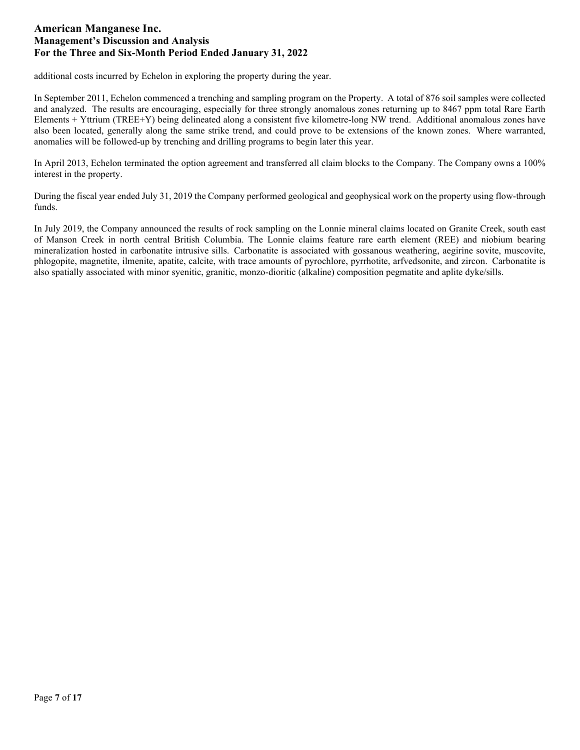additional costs incurred by Echelon in exploring the property during the year.

In September 2011, Echelon commenced a trenching and sampling program on the Property. A total of 876 soil samples were collected and analyzed. The results are encouraging, especially for three strongly anomalous zones returning up to 8467 ppm total Rare Earth Elements + Yttrium (TREE+Y) being delineated along a consistent five kilometre-long NW trend. Additional anomalous zones have also been located, generally along the same strike trend, and could prove to be extensions of the known zones. Where warranted, anomalies will be followed-up by trenching and drilling programs to begin later this year.

In April 2013, Echelon terminated the option agreement and transferred all claim blocks to the Company. The Company owns a 100% interest in the property.

During the fiscal year ended July 31, 2019 the Company performed geological and geophysical work on the property using flow-through funds.

In July 2019, the Company announced the results of rock sampling on the Lonnie mineral claims located on Granite Creek, south east of Manson Creek in north central British Columbia. The Lonnie claims feature rare earth element (REE) and niobium bearing mineralization hosted in carbonatite intrusive sills. Carbonatite is associated with gossanous weathering, aegirine sovite, muscovite, phlogopite, magnetite, ilmenite, apatite, calcite, with trace amounts of pyrochlore, pyrrhotite, arfvedsonite, and zircon. Carbonatite is also spatially associated with minor syenitic, granitic, monzo-dioritic (alkaline) composition pegmatite and aplite dyke/sills.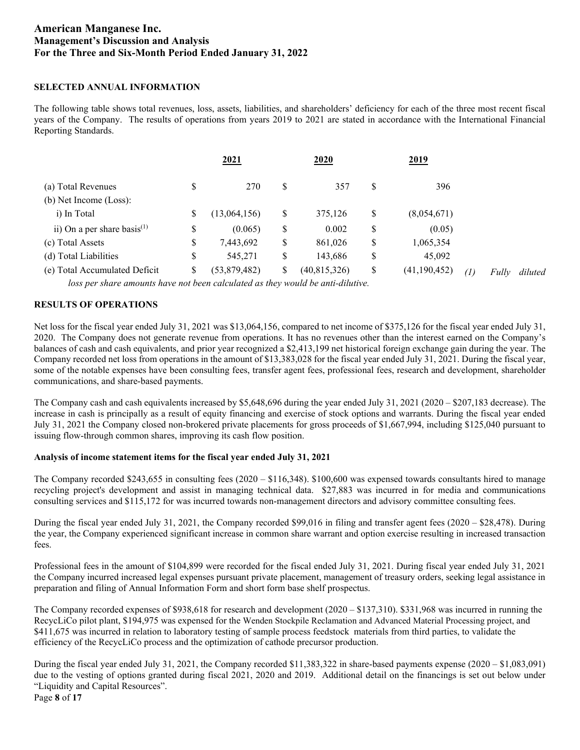### **SELECTED ANNUAL INFORMATION**

The following table shows total revenues, loss, assets, liabilities, and shareholders' deficiency for each of the three most recent fiscal years of the Company. The results of operations from years 2019 to 2021 are stated in accordance with the International Financial Reporting Standards.

|                                   | 2021 |              |    | 2020           |    | 2019           |       |         |
|-----------------------------------|------|--------------|----|----------------|----|----------------|-------|---------|
| (a) Total Revenues                | \$   | 270          | S  | 357            | \$ | 396            |       |         |
| (b) Net Income (Loss):            |      |              |    |                |    |                |       |         |
| i) In Total                       | \$   | (13,064,156) | \$ | 375,126        | S  | (8,054,671)    |       |         |
| ii) On a per share basis $^{(1)}$ | \$   | (0.065)      | S  | 0.002          | \$ | (0.05)         |       |         |
| (c) Total Assets                  | \$   | 7,443,692    | \$ | 861,026        | \$ | 1,065,354      |       |         |
| (d) Total Liabilities             | \$   | 545,271      | S  | 143,686        | \$ | 45,092         |       |         |
| (e) Total Accumulated Deficit     | \$   | (53,879,482) | \$ | (40, 815, 326) | \$ | (41, 190, 452) | Fully | diluted |
|                                   |      |              |    | $\cdots$       |    |                |       |         |

loss per share amounts have not been calculated as they would be anti-dilutive.

## **RESULTS OF OPERATIONS**

Net loss for the fiscal year ended July 31, 2021 was \$13,064,156, compared to net income of \$375,126 for the fiscal year ended July 31, 2020. The Company does not generate revenue from operations. It has no revenues other than the interest earned on the Company's balances of cash and cash equivalents, and prior year recognized a \$2,413,199 net historical foreign exchange gain during the year. The Company recorded net loss from operations in the amount of \$13,383,028 for the fiscal year ended July 31, 2021. During the fiscal year, some of the notable expenses have been consulting fees, transfer agent fees, professional fees, research and development, shareholder communications, and share-based payments.

The Company cash and cash equivalents increased by \$5,648,696 during the year ended July 31, 2021 (2020 – \$207,183 decrease). The increase in cash is principally as a result of equity financing and exercise of stock options and warrants. During the fiscal year ended July 31, 2021 the Company closed non-brokered private placements for gross proceeds of \$1,667,994, including \$125,040 pursuant to issuing flow-through common shares, improving its cash flow position.

#### **Analysis of income statement items for the fiscal year ended July 31, 2021**

The Company recorded \$243,655 in consulting fees (2020 – \$116,348). \$100,600 was expensed towards consultants hired to manage recycling project's development and assist in managing technical data. \$27,883 was incurred in for media and communications consulting services and \$115,172 for was incurred towards non-management directors and advisory committee consulting fees.

During the fiscal year ended July 31, 2021, the Company recorded \$99,016 in filing and transfer agent fees (2020 – \$28,478). During the year, the Company experienced significant increase in common share warrant and option exercise resulting in increased transaction fees.

Professional fees in the amount of \$104,899 were recorded for the fiscal ended July 31, 2021. During fiscal year ended July 31, 2021 the Company incurred increased legal expenses pursuant private placement, management of treasury orders, seeking legal assistance in preparation and filing of Annual Information Form and short form base shelf prospectus.

The Company recorded expenses of \$938,618 for research and development (2020 – \$137,310). \$331,968 was incurred in running the RecycLiCo pilot plant, \$194,975 was expensed for the Wenden Stockpile Reclamation and Advanced Material Processing project, and \$411,675 was incurred in relation to laboratory testing of sample process feedstock materials from third parties, to validate the efficiency of the RecycLiCo process and the optimization of cathode precursor production.

During the fiscal year ended July 31, 2021, the Company recorded \$11,383,322 in share-based payments expense (2020 – \$1,083,091) due to the vesting of options granted during fiscal 2021, 2020 and 2019. Additional detail on the financings is set out below under "Liquidity and Capital Resources".

Page **8** of **17**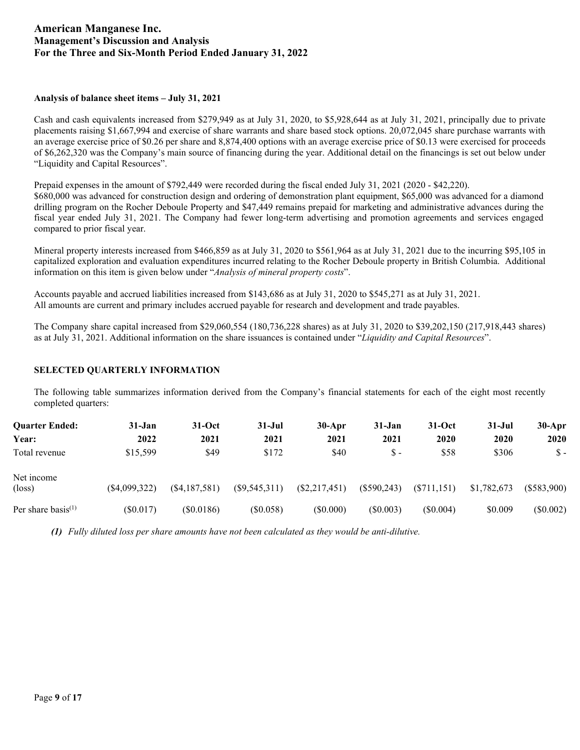## **Analysis of balance sheet items – July 31, 2021**

Cash and cash equivalents increased from \$279,949 as at July 31, 2020, to \$5,928,644 as at July 31, 2021, principally due to private placements raising \$1,667,994 and exercise of share warrants and share based stock options. 20,072,045 share purchase warrants with an average exercise price of \$0.26 per share and 8,874,400 options with an average exercise price of \$0.13 were exercised for proceeds of \$6,262,320 was the Company's main source of financing during the year. Additional detail on the financings is set out below under "Liquidity and Capital Resources".

Prepaid expenses in the amount of \$792,449 were recorded during the fiscal ended July 31, 2021 (2020 - \$42,220). \$680,000 was advanced for construction design and ordering of demonstration plant equipment, \$65,000 was advanced for a diamond drilling program on the Rocher Deboule Property and \$47,449 remains prepaid for marketing and administrative advances during the fiscal year ended July 31, 2021. The Company had fewer long-term advertising and promotion agreements and services engaged compared to prior fiscal year.

Mineral property interests increased from \$466,859 as at July 31, 2020 to \$561,964 as at July 31, 2021 due to the incurring \$95,105 in capitalized exploration and evaluation expenditures incurred relating to the Rocher Deboule property in British Columbia. Additional information on this item is given below under "*Analysis of mineral property costs*".

Accounts payable and accrued liabilities increased from \$143,686 as at July 31, 2020 to \$545,271 as at July 31, 2021. All amounts are current and primary includes accrued payable for research and development and trade payables.

The Company share capital increased from \$29,060,554 (180,736,228 shares) as at July 31, 2020 to \$39,202,150 (217,918,443 shares) as at July 31, 2021. Additional information on the share issuances is contained under "*Liquidity and Capital Resources*".

## **SELECTED QUARTERLY INFORMATION**

The following table summarizes information derived from the Company's financial statements for each of the eight most recently completed quarters:

| <b>Ouarter Ended:</b>          | 31-Jan          | $31-Oct$        | $31 - Jul$      | $30-Apr$        | $31 - Jan$    | $31-Oct$      | $31 - Jul$  | $30-Apr$      |
|--------------------------------|-----------------|-----------------|-----------------|-----------------|---------------|---------------|-------------|---------------|
| Year:                          | 2022            | 2021            | 2021            | 2021            | 2021          | 2020          | 2020        | 2020          |
| Total revenue                  | \$15,599        | \$49            | \$172           | \$40            | $S -$         | \$58          | \$306       | Տ -           |
| Net income                     |                 |                 |                 |                 |               |               |             |               |
| $(\text{loss})$                | $(\$4,099,322)$ | $(\$4,187,581)$ | $(\$9,545,311)$ | $(\$2,217,451)$ | $(\$590,243)$ | $(\$711,151)$ | \$1,782,673 | $(\$583,900)$ |
| Per share basis <sup>(1)</sup> | $(\$0.017)$     | (S0.0186)       | (\$0.058)       | (S0.000)        | $(\$0.003)$   | (\$0.004)     | \$0.009     | $(\$0.002)$   |

*(1) Fully diluted loss per share amounts have not been calculated as they would be anti-dilutive.*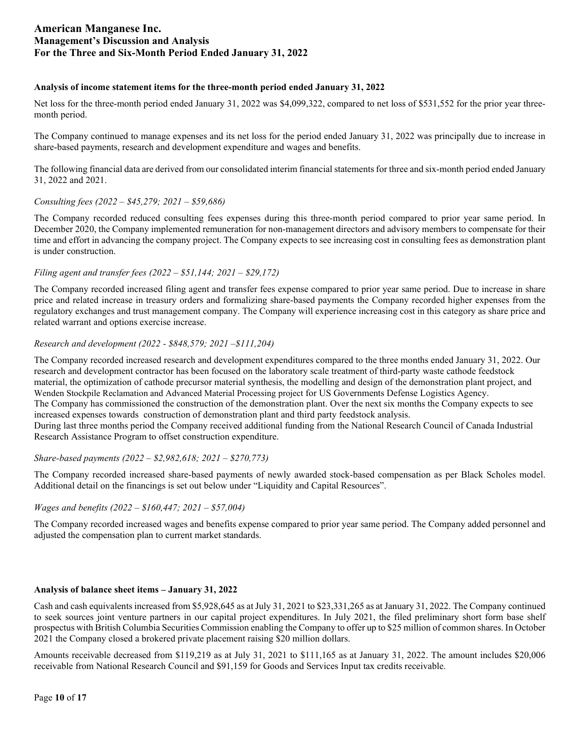### **Analysis of income statement items for the three-month period ended January 31, 2022**

Net loss for the three-month period ended January 31, 2022 was \$4,099,322, compared to net loss of \$531,552 for the prior year threemonth period.

The Company continued to manage expenses and its net loss for the period ended January 31, 2022 was principally due to increase in share-based payments, research and development expenditure and wages and benefits.

The following financial data are derived from our consolidated interim financial statements for three and six-month period ended January 31, 2022 and 2021.

## *Consulting fees (2022 – \$45,279; 2021 – \$59,686)*

The Company recorded reduced consulting fees expenses during this three-month period compared to prior year same period. In December 2020, the Company implemented remuneration for non-management directors and advisory members to compensate for their time and effort in advancing the company project. The Company expects to see increasing cost in consulting fees as demonstration plant is under construction.

### *Filing agent and transfer fees (2022 – \$51,144; 2021 – \$29,172)*

The Company recorded increased filing agent and transfer fees expense compared to prior year same period. Due to increase in share price and related increase in treasury orders and formalizing share-based payments the Company recorded higher expenses from the regulatory exchanges and trust management company. The Company will experience increasing cost in this category as share price and related warrant and options exercise increase.

### *Research and development (2022 - \$848,579; 2021 –\$111,204)*

The Company recorded increased research and development expenditures compared to the three months ended January 31, 2022. Our research and development contractor has been focused on the laboratory scale treatment of third-party waste cathode feedstock material, the optimization of cathode precursor material synthesis, the modelling and design of the demonstration plant project, and Wenden Stockpile Reclamation and Advanced Material Processing project for US Governments Defense Logistics Agency. The Company has commissioned the construction of the demonstration plant. Over the next six months the Company expects to see increased expenses towards construction of demonstration plant and third party feedstock analysis. During last three months period the Company received additional funding from the National Research Council of Canada Industrial Research Assistance Program to offset construction expenditure.

#### *Share-based payments (2022 – \$2,982,618; 2021 – \$270,773)*

The Company recorded increased share-based payments of newly awarded stock-based compensation as per Black Scholes model. Additional detail on the financings is set out below under "Liquidity and Capital Resources".

#### *Wages and benefits (2022 – \$160,447; 2021 – \$57,004)*

The Company recorded increased wages and benefits expense compared to prior year same period. The Company added personnel and adjusted the compensation plan to current market standards.

#### **Analysis of balance sheet items – January 31, 2022**

Cash and cash equivalents increased from \$5,928,645 as at July 31, 2021 to \$23,331,265 as at January 31, 2022. The Company continued to seek sources joint venture partners in our capital project expenditures. In July 2021, the filed preliminary short form base shelf prospectus with British Columbia Securities Commission enabling the Company to offer up to \$25 million of common shares. In October 2021 the Company closed a brokered private placement raising \$20 million dollars.

Amounts receivable decreased from \$119,219 as at July 31, 2021 to \$111,165 as at January 31, 2022. The amount includes \$20,006 receivable from National Research Council and \$91,159 for Goods and Services Input tax credits receivable.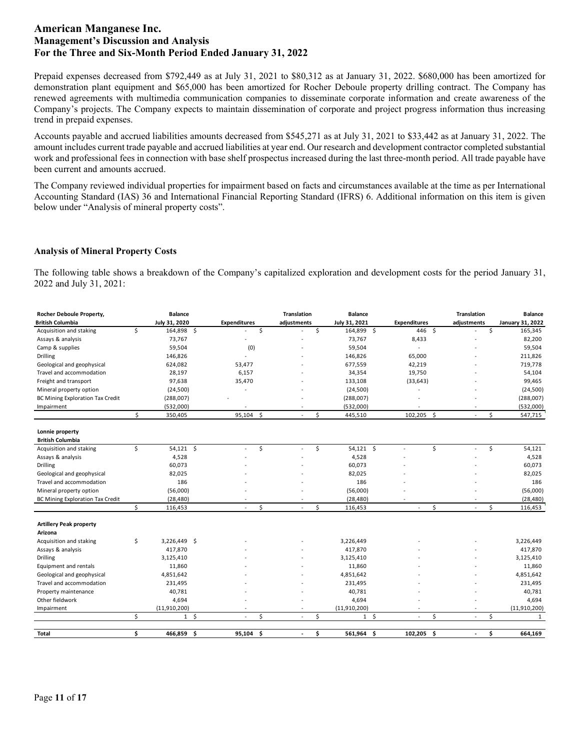Prepaid expenses decreased from \$792,449 as at July 31, 2021 to \$80,312 as at January 31, 2022. \$680,000 has been amortized for demonstration plant equipment and \$65,000 has been amortized for Rocher Deboule property drilling contract. The Company has renewed agreements with multimedia communication companies to disseminate corporate information and create awareness of the Company's projects. The Company expects to maintain dissemination of corporate and project progress information thus increasing trend in prepaid expenses.

Accounts payable and accrued liabilities amounts decreased from \$545,271 as at July 31, 2021 to \$33,442 as at January 31, 2022. The amount includes current trade payable and accrued liabilities at year end. Our research and development contractor completed substantial work and professional fees in connection with base shelf prospectus increased during the last three-month period. All trade payable have been current and amounts accrued.

The Company reviewed individual properties for impairment based on facts and circumstances available at the time as per International Accounting Standard (IAS) 36 and International Financial Reporting Standard (IFRS) 6. Additional information on this item is given below under "Analysis of mineral property costs".

### **Analysis of Mineral Property Costs**

The following table shows a breakdown of the Company's capitalized exploration and development costs for the period January 31, 2022 and July 31, 2021:

| Rocher Deboule Property,                |    | <b>Balance</b> |                     |         | <b>Translation</b> | <b>Balance</b>       |                     |           |              | <b>Translation</b> |              | <b>Balance</b>   |
|-----------------------------------------|----|----------------|---------------------|---------|--------------------|----------------------|---------------------|-----------|--------------|--------------------|--------------|------------------|
| <b>British Columbia</b>                 |    | July 31, 2020  | <b>Expenditures</b> |         | adjustments        | July 31, 2021        | <b>Expenditures</b> |           |              | adjustments        |              | January 31, 2022 |
| Acquisition and staking                 | Ś. | 164,898 \$     |                     | \$      |                    | \$<br>164,899 \$     |                     | 446 \$    |              |                    | \$           | 165,345          |
| Assays & analysis                       |    | 73,767         |                     |         |                    | 73,767               |                     | 8,433     |              |                    |              | 82,200           |
| Camp & supplies                         |    | 59,504         | (0)                 |         |                    | 59,504               |                     |           |              |                    |              | 59,504           |
| Drilling                                |    | 146,826        |                     |         |                    | 146,826              |                     | 65,000    |              |                    |              | 211,826          |
| Geological and geophysical              |    | 624,082        | 53,477              |         |                    | 677,559              |                     | 42,219    |              |                    |              | 719,778          |
| Travel and accommodation                |    | 28,197         | 6,157               |         |                    | 34,354               |                     | 19,750    |              |                    |              | 54,104           |
| Freight and transport                   |    | 97,638         | 35,470              |         |                    | 133,108              |                     | (33, 643) |              |                    |              | 99,465           |
| Mineral property option                 |    | (24, 500)      |                     |         |                    | (24, 500)            |                     |           |              |                    |              | (24, 500)        |
| <b>BC Mining Exploration Tax Credit</b> |    | (288,007)      |                     |         |                    | (288,007)            |                     |           |              |                    |              | (288,007)        |
| Impairment                              |    | (532,000)      |                     |         |                    | (532,000)            |                     |           |              |                    |              | (532,000)        |
|                                         | \$ | 350,405        | 95,104              | $\zeta$ |                    | \$<br>445,510        |                     | 102,205   | $\mathsf{S}$ | $\omega$           | \$           | 547,715          |
| Lonnie property                         |    |                |                     |         |                    |                      |                     |           |              |                    |              |                  |
| <b>British Columbia</b>                 |    |                |                     |         |                    |                      |                     |           |              |                    |              |                  |
| Acquisition and staking                 | \$ | $54,121$ \$    | $\sim$              | \$      |                    | \$<br>$54,121$ \$    |                     |           | \$           | ÷.                 | \$           | 54,121           |
| Assays & analysis                       |    | 4,528          |                     |         |                    | 4,528                |                     |           |              |                    |              | 4,528            |
| Drilling                                |    | 60,073         |                     |         |                    | 60,073               |                     |           |              |                    |              | 60,073           |
| Geological and geophysical              |    | 82,025         |                     |         |                    | 82,025               |                     |           |              |                    |              | 82,025           |
| Travel and accommodation                |    | 186            |                     |         |                    | 186                  |                     |           |              |                    |              | 186              |
| Mineral property option                 |    | (56,000)       |                     |         |                    | (56,000)             |                     |           |              |                    |              | (56,000)         |
| <b>BC Mining Exploration Tax Credit</b> |    | (28, 480)      |                     |         |                    | (28, 480)            |                     |           |              |                    |              | (28, 480)        |
|                                         | Ś. | 116,453        |                     | Ś       |                    | \$<br>116,453        |                     |           | \$           | ÷.                 | $\mathsf{S}$ | 116,453          |
| <b>Artillery Peak property</b>          |    |                |                     |         |                    |                      |                     |           |              |                    |              |                  |
| Arizona                                 |    |                |                     |         |                    |                      |                     |           |              |                    |              |                  |
| Acquisition and staking                 | \$ | 3,226,449 \$   |                     |         |                    | 3,226,449            |                     |           |              |                    |              | 3,226,449        |
| Assays & analysis                       |    | 417,870        |                     |         |                    | 417,870              |                     |           |              |                    |              | 417,870          |
| Drilling                                |    | 3,125,410      |                     |         |                    | 3,125,410            |                     |           |              |                    |              | 3,125,410        |
| Equipment and rentals                   |    | 11,860         |                     |         |                    | 11,860               |                     |           |              |                    |              | 11,860           |
| Geological and geophysical              |    | 4,851,642      |                     |         |                    | 4,851,642            |                     |           |              |                    |              | 4,851,642        |
| Travel and accommodation                |    | 231,495        |                     |         |                    | 231,495              |                     |           |              |                    |              | 231,495          |
| Property maintenance                    |    | 40,781         |                     |         |                    | 40,781               |                     |           |              |                    |              | 40,781           |
| Other fieldwork                         |    | 4,694          |                     |         |                    | 4,694                |                     |           |              |                    |              | 4,694            |
| Impairment                              |    | (11,910,200)   |                     |         |                    | (11,910,200)         |                     |           |              |                    |              | (11, 910, 200)   |
|                                         | Ś. | $1 \quad$      | $\sim$              | Ś       | $\blacksquare$     | \$<br>1 <sup>5</sup> |                     | $\sim$    | \$           | $\omega$           | Ś            | 1                |
| <b>Total</b>                            | \$ | 466,859 \$     | 95,104              | -\$     |                    | \$<br>561,964 \$     |                     | 102,205   | - \$         | $\blacksquare$     | \$           | 664,169          |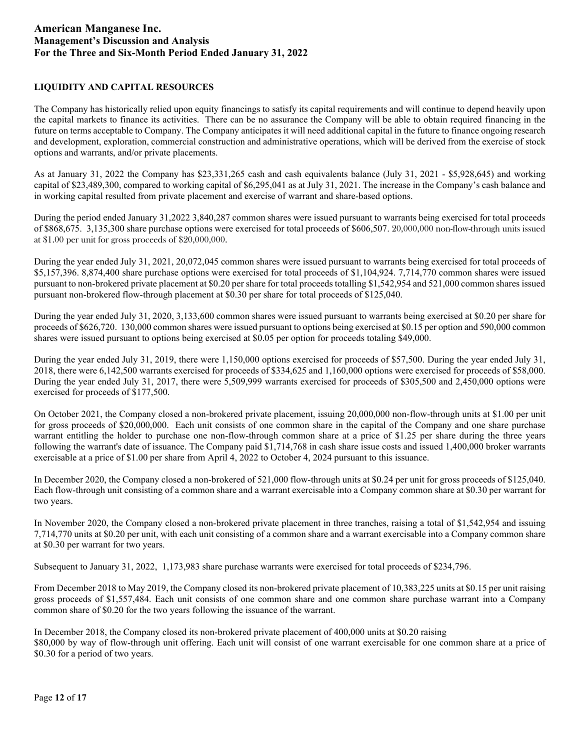## **LIQUIDITY AND CAPITAL RESOURCES**

The Company has historically relied upon equity financings to satisfy its capital requirements and will continue to depend heavily upon the capital markets to finance its activities. There can be no assurance the Company will be able to obtain required financing in the future on terms acceptable to Company. The Company anticipates it will need additional capital in the future to finance ongoing research and development, exploration, commercial construction and administrative operations, which will be derived from the exercise of stock options and warrants, and/or private placements.

As at January 31, 2022 the Company has \$23,331,265 cash and cash equivalents balance (July 31, 2021 - \$5,928,645) and working capital of \$23,489,300, compared to working capital of \$6,295,041 as at July 31, 2021. The increase in the Company's cash balance and in working capital resulted from private placement and exercise of warrant and share-based options.

During the period ended January 31,2022 3,840,287 common shares were issued pursuant to warrants being exercised for total proceeds of \$868,675. 3,135,300 share purchase options were exercised for total proceeds of \$606,507. 20,000,000 non-flow-through units issued at \$1.00 per unit for gross proceeds of \$20,000,000.

During the year ended July 31, 2021, 20,072,045 common shares were issued pursuant to warrants being exercised for total proceeds of \$5,157,396. 8,874,400 share purchase options were exercised for total proceeds of \$1,104,924. 7,714,770 common shares were issued pursuant to non-brokered private placement at \$0.20 per share for total proceeds totalling \$1,542,954 and 521,000 common shares issued pursuant non-brokered flow-through placement at \$0.30 per share for total proceeds of \$125,040.

During the year ended July 31, 2020, 3,133,600 common shares were issued pursuant to warrants being exercised at \$0.20 per share for proceeds of \$626,720. 130,000 common shares were issued pursuant to options being exercised at \$0.15 per option and 590,000 common shares were issued pursuant to options being exercised at \$0.05 per option for proceeds totaling \$49,000.

During the year ended July 31, 2019, there were 1,150,000 options exercised for proceeds of \$57,500. During the year ended July 31, 2018, there were 6,142,500 warrants exercised for proceeds of \$334,625 and 1,160,000 options were exercised for proceeds of \$58,000. During the year ended July 31, 2017, there were 5,509,999 warrants exercised for proceeds of \$305,500 and 2,450,000 options were exercised for proceeds of \$177,500.

On October 2021, the Company closed a non-brokered private placement, issuing 20,000,000 non-flow-through units at \$1.00 per unit for gross proceeds of \$20,000,000. Each unit consists of one common share in the capital of the Company and one share purchase warrant entitling the holder to purchase one non-flow-through common share at a price of \$1.25 per share during the three years following the warrant's date of issuance. The Company paid \$1,714,768 in cash share issue costs and issued 1,400,000 broker warrants exercisable at a price of \$1.00 per share from April 4, 2022 to October 4, 2024 pursuant to this issuance.

In December 2020, the Company closed a non-brokered of 521,000 flow-through units at \$0.24 per unit for gross proceeds of \$125,040. Each flow-through unit consisting of a common share and a warrant exercisable into a Company common share at \$0.30 per warrant for two years.

In November 2020, the Company closed a non-brokered private placement in three tranches, raising a total of \$1,542,954 and issuing 7,714,770 units at \$0.20 per unit, with each unit consisting of a common share and a warrant exercisable into a Company common share at \$0.30 per warrant for two years.

Subsequent to January 31, 2022, 1,173,983 share purchase warrants were exercised for total proceeds of \$234,796.

From December 2018 to May 2019, the Company closed its non-brokered private placement of 10,383,225 units at \$0.15 per unit raising gross proceeds of \$1,557,484. Each unit consists of one common share and one common share purchase warrant into a Company common share of \$0.20 for the two years following the issuance of the warrant.

In December 2018, the Company closed its non-brokered private placement of 400,000 units at \$0.20 raising \$80,000 by way of flow-through unit offering. Each unit will consist of one warrant exercisable for one common share at a price of \$0.30 for a period of two years.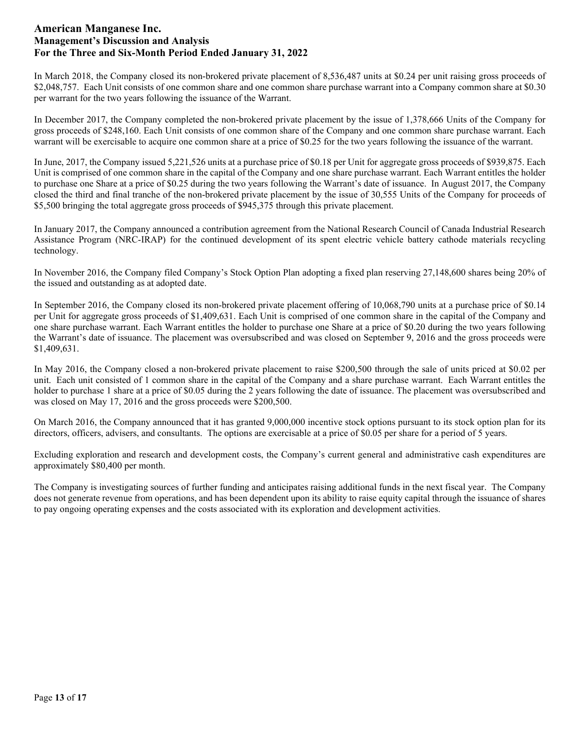In March 2018, the Company closed its non-brokered private placement of 8,536,487 units at \$0.24 per unit raising gross proceeds of \$2,048,757. Each Unit consists of one common share and one common share purchase warrant into a Company common share at \$0.30 per warrant for the two years following the issuance of the Warrant.

In December 2017, the Company completed the non-brokered private placement by the issue of 1,378,666 Units of the Company for gross proceeds of \$248,160. Each Unit consists of one common share of the Company and one common share purchase warrant. Each warrant will be exercisable to acquire one common share at a price of \$0.25 for the two years following the issuance of the warrant.

In June, 2017, the Company issued 5,221,526 units at a purchase price of \$0.18 per Unit for aggregate gross proceeds of \$939,875. Each Unit is comprised of one common share in the capital of the Company and one share purchase warrant. Each Warrant entitles the holder to purchase one Share at a price of \$0.25 during the two years following the Warrant's date of issuance. In August 2017, the Company closed the third and final tranche of the non-brokered private placement by the issue of 30,555 Units of the Company for proceeds of \$5,500 bringing the total aggregate gross proceeds of \$945,375 through this private placement.

In January 2017, the Company announced a contribution agreement from the National Research Council of Canada Industrial Research Assistance Program (NRC-IRAP) for the continued development of its spent electric vehicle battery cathode materials recycling technology.

In November 2016, the Company filed Company's Stock Option Plan adopting a fixed plan reserving 27,148,600 shares being 20% of the issued and outstanding as at adopted date.

In September 2016, the Company closed its non-brokered private placement offering of 10,068,790 units at a purchase price of \$0.14 per Unit for aggregate gross proceeds of \$1,409,631. Each Unit is comprised of one common share in the capital of the Company and one share purchase warrant. Each Warrant entitles the holder to purchase one Share at a price of \$0.20 during the two years following the Warrant's date of issuance. The placement was oversubscribed and was closed on September 9, 2016 and the gross proceeds were \$1,409,631.

In May 2016, the Company closed a non-brokered private placement to raise \$200,500 through the sale of units priced at \$0.02 per unit. Each unit consisted of 1 common share in the capital of the Company and a share purchase warrant. Each Warrant entitles the holder to purchase 1 share at a price of \$0.05 during the 2 years following the date of issuance. The placement was oversubscribed and was closed on May 17, 2016 and the gross proceeds were \$200,500.

On March 2016, the Company announced that it has granted 9,000,000 incentive stock options pursuant to its stock option plan for its directors, officers, advisers, and consultants. The options are exercisable at a price of \$0.05 per share for a period of 5 years.

Excluding exploration and research and development costs, the Company's current general and administrative cash expenditures are approximately \$80,400 per month.

The Company is investigating sources of further funding and anticipates raising additional funds in the next fiscal year. The Company does not generate revenue from operations, and has been dependent upon its ability to raise equity capital through the issuance of shares to pay ongoing operating expenses and the costs associated with its exploration and development activities.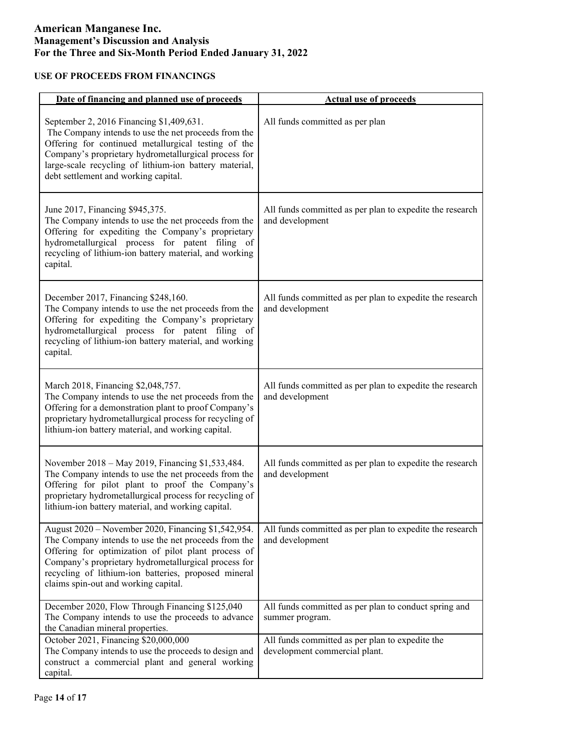# **USE OF PROCEEDS FROM FINANCINGS**

| Date of financing and planned use of proceeds                                                                                                                                                                                                                                                                              | <b>Actual use of proceeds</b>                                                    |
|----------------------------------------------------------------------------------------------------------------------------------------------------------------------------------------------------------------------------------------------------------------------------------------------------------------------------|----------------------------------------------------------------------------------|
| September 2, 2016 Financing \$1,409,631.<br>The Company intends to use the net proceeds from the<br>Offering for continued metallurgical testing of the<br>Company's proprietary hydrometallurgical process for<br>large-scale recycling of lithium-ion battery material,<br>debt settlement and working capital.          | All funds committed as per plan                                                  |
| June 2017, Financing \$945,375.<br>The Company intends to use the net proceeds from the<br>Offering for expediting the Company's proprietary<br>hydrometallurgical process for patent filing of<br>recycling of lithium-ion battery material, and working<br>capital.                                                      | All funds committed as per plan to expedite the research<br>and development      |
| December 2017, Financing \$248,160.<br>The Company intends to use the net proceeds from the<br>Offering for expediting the Company's proprietary<br>hydrometallurgical process for patent filing of<br>recycling of lithium-ion battery material, and working<br>capital.                                                  | All funds committed as per plan to expedite the research<br>and development      |
| March 2018, Financing \$2,048,757.<br>The Company intends to use the net proceeds from the<br>Offering for a demonstration plant to proof Company's<br>proprietary hydrometallurgical process for recycling of<br>lithium-ion battery material, and working capital.                                                       | All funds committed as per plan to expedite the research<br>and development      |
| November 2018 – May 2019, Financing \$1,533,484.<br>The Company intends to use the net proceeds from the<br>Offering for pilot plant to proof the Company's<br>proprietary hydrometallurgical process for recycling of<br>lithium-ion battery material, and working capital.                                               | All funds committed as per plan to expedite the research<br>and development      |
| August 2020 - November 2020, Financing \$1,542,954.<br>The Company intends to use the net proceeds from the<br>Offering for optimization of pilot plant process of<br>Company's proprietary hydrometallurgical process for<br>recycling of lithium-ion batteries, proposed mineral<br>claims spin-out and working capital. | All funds committed as per plan to expedite the research<br>and development      |
| December 2020, Flow Through Financing \$125,040<br>The Company intends to use the proceeds to advance<br>the Canadian mineral properties.                                                                                                                                                                                  | All funds committed as per plan to conduct spring and<br>summer program.         |
| October 2021, Financing \$20,000,000<br>The Company intends to use the proceeds to design and<br>construct a commercial plant and general working<br>capital.                                                                                                                                                              | All funds committed as per plan to expedite the<br>development commercial plant. |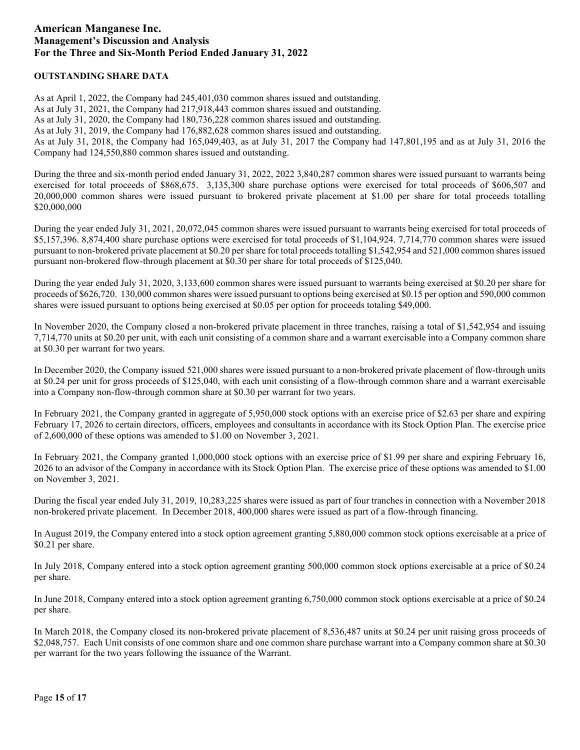## **OUTSTANDING SHARE DATA**

As at April 1, 2022, the Company had 245,401,030 common shares issued and outstanding. As at July 31, 2021, the Company had 217,918,443 common shares issued and outstanding. As at July 31, 2020, the Company had 180,736,228 common shares issued and outstanding. As at July 31, 2019, the Company had 176,882,628 common shares issued and outstanding. As at July 31, 2018, the Company had 165,049,403, as at July 31, 2017 the Company had 147,801,195 and as at July 31, 2016 the Company had 124,550,880 common shares issued and outstanding.

During the three and six-month period ended January 31, 2022, 2022 3,840,287 common shares were issued pursuant to warrants being exercised for total proceeds of \$868,675. 3,135,300 share purchase options were exercised for total proceeds of \$606,507 and 20,000,000 common shares were issued pursuant to brokered private placement at \$1.00 per share for total proceeds totalling \$20,000,000

During the year ended July 31, 2021, 20,072,045 common shares were issued pursuant to warrants being exercised for total proceeds of \$5,157,396. 8,874,400 share purchase options were exercised for total proceeds of \$1,104,924. 7,714,770 common shares were issued pursuant to non-brokered private placement at \$0.20 per share for total proceeds totalling \$1,542,954 and 521,000 common shares issued pursuant non-brokered flow-through placement at \$0.30 per share for total proceeds of \$125,040.

During the year ended July 31, 2020, 3,133,600 common shares were issued pursuant to warrants being exercised at \$0.20 per share for proceeds of \$626,720. 130,000 common shares were issued pursuant to options being exercised at \$0.15 per option and 590,000 common shares were issued pursuant to options being exercised at \$0.05 per option for proceeds totaling \$49,000.

In November 2020, the Company closed a non-brokered private placement in three tranches, raising a total of \$1,542,954 and issuing 7,714,770 units at \$0.20 per unit, with each unit consisting of a common share and a warrant exercisable into a Company common share at \$0.30 per warrant for two years.

In December 2020, the Company issued 521,000 shares were issued pursuant to a non-brokered private placement of flow-through units at \$0.24 per unit for gross proceeds of \$125,040, with each unit consisting of a flow-through common share and a warrant exercisable into a Company non-flow-through common share at \$0.30 per warrant for two years.

In February 2021, the Company granted in aggregate of 5,950,000 stock options with an exercise price of \$2.63 per share and expiring February 17, 2026 to certain directors, officers, employees and consultants in accordance with its Stock Option Plan. The exercise price of 2,600,000 of these options was amended to \$1.00 on November 3, 2021.

In February 2021, the Company granted 1,000,000 stock options with an exercise price of \$1.99 per share and expiring February 16, 2026 to an advisor of the Company in accordance with its Stock Option Plan. The exercise price of these options was amended to \$1.00 on November 3, 2021.

During the fiscal year ended July 31, 2019, 10,283,225 shares were issued as part of four tranches in connection with a November 2018 non-brokered private placement. In December 2018, 400,000 shares were issued as part of a flow-through financing.

In August 2019, the Company entered into a stock option agreement granting 5,880,000 common stock options exercisable at a price of \$0.21 per share.

In July 2018, Company entered into a stock option agreement granting 500,000 common stock options exercisable at a price of \$0.24 per share.

In June 2018, Company entered into a stock option agreement granting 6,750,000 common stock options exercisable at a price of \$0.24 per share.

In March 2018, the Company closed its non-brokered private placement of 8,536,487 units at \$0.24 per unit raising gross proceeds of \$2,048,757. Each Unit consists of one common share and one common share purchase warrant into a Company common share at \$0.30 per warrant for the two years following the issuance of the Warrant.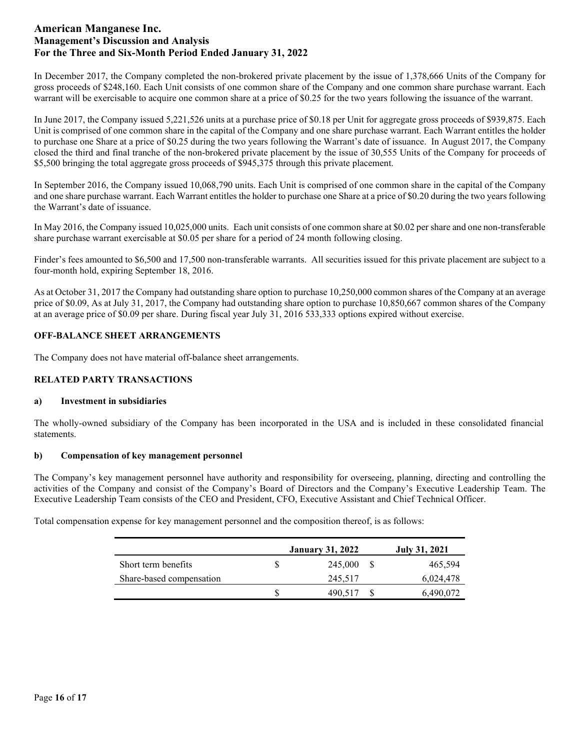In December 2017, the Company completed the non-brokered private placement by the issue of 1,378,666 Units of the Company for gross proceeds of \$248,160. Each Unit consists of one common share of the Company and one common share purchase warrant. Each warrant will be exercisable to acquire one common share at a price of \$0.25 for the two years following the issuance of the warrant.

In June 2017, the Company issued 5,221,526 units at a purchase price of \$0.18 per Unit for aggregate gross proceeds of \$939,875. Each Unit is comprised of one common share in the capital of the Company and one share purchase warrant. Each Warrant entitles the holder to purchase one Share at a price of \$0.25 during the two years following the Warrant's date of issuance. In August 2017, the Company closed the third and final tranche of the non-brokered private placement by the issue of 30,555 Units of the Company for proceeds of \$5,500 bringing the total aggregate gross proceeds of \$945,375 through this private placement.

In September 2016, the Company issued 10,068,790 units. Each Unit is comprised of one common share in the capital of the Company and one share purchase warrant. Each Warrant entitles the holder to purchase one Share at a price of \$0.20 during the two years following the Warrant's date of issuance.

In May 2016, the Company issued 10,025,000 units. Each unit consists of one common share at \$0.02 per share and one non-transferable share purchase warrant exercisable at \$0.05 per share for a period of 24 month following closing.

Finder's fees amounted to \$6,500 and 17,500 non-transferable warrants. All securities issued for this private placement are subject to a four-month hold, expiring September 18, 2016.

As at October 31, 2017 the Company had outstanding share option to purchase 10,250,000 common shares of the Company at an average price of \$0.09, As at July 31, 2017, the Company had outstanding share option to purchase 10,850,667 common shares of the Company at an average price of \$0.09 per share. During fiscal year July 31, 2016 533,333 options expired without exercise.

## **OFF-BALANCE SHEET ARRANGEMENTS**

The Company does not have material off-balance sheet arrangements.

## **RELATED PARTY TRANSACTIONS**

#### **a) Investment in subsidiaries**

The wholly-owned subsidiary of the Company has been incorporated in the USA and is included in these consolidated financial statements.

## **b) Compensation of key management personnel**

The Company's key management personnel have authority and responsibility for overseeing, planning, directing and controlling the activities of the Company and consist of the Company's Board of Directors and the Company's Executive Leadership Team. The Executive Leadership Team consists of the CEO and President, CFO, Executive Assistant and Chief Technical Officer.

Total compensation expense for key management personnel and the composition thereof, is as follows:

|                          | <b>January 31, 2022</b> | <b>July 31, 2021</b> |
|--------------------------|-------------------------|----------------------|
| Short term benefits      | 245,000                 | 465,594              |
| Share-based compensation | 245,517                 | 6,024,478            |
|                          | 490.517                 | 6,490,072            |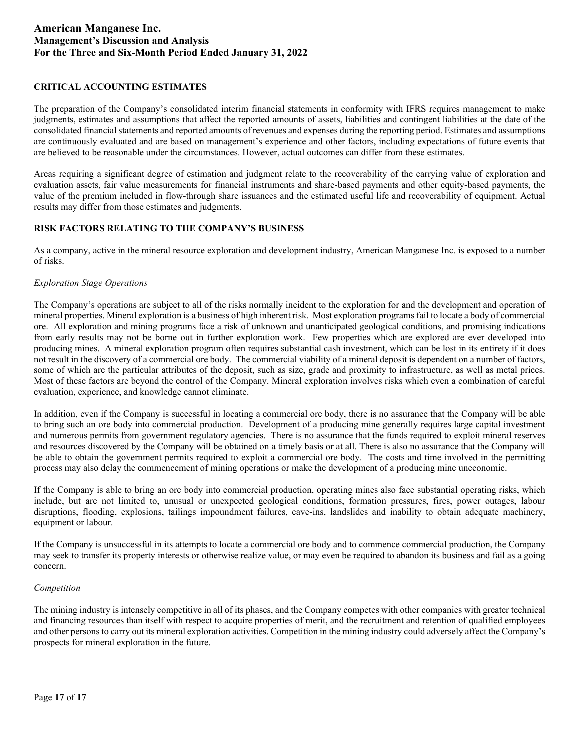## **CRITICAL ACCOUNTING ESTIMATES**

The preparation of the Company's consolidated interim financial statements in conformity with IFRS requires management to make judgments, estimates and assumptions that affect the reported amounts of assets, liabilities and contingent liabilities at the date of the consolidated financial statements and reported amounts of revenues and expenses during the reporting period. Estimates and assumptions are continuously evaluated and are based on management's experience and other factors, including expectations of future events that are believed to be reasonable under the circumstances. However, actual outcomes can differ from these estimates.

Areas requiring a significant degree of estimation and judgment relate to the recoverability of the carrying value of exploration and evaluation assets, fair value measurements for financial instruments and share-based payments and other equity-based payments, the value of the premium included in flow-through share issuances and the estimated useful life and recoverability of equipment. Actual results may differ from those estimates and judgments.

## **RISK FACTORS RELATING TO THE COMPANY'S BUSINESS**

As a company, active in the mineral resource exploration and development industry, American Manganese Inc. is exposed to a number of risks.

## *Exploration Stage Operations*

The Company's operations are subject to all of the risks normally incident to the exploration for and the development and operation of mineral properties. Mineral exploration is a business of high inherent risk. Most exploration programs fail to locate a body of commercial ore. All exploration and mining programs face a risk of unknown and unanticipated geological conditions, and promising indications from early results may not be borne out in further exploration work. Few properties which are explored are ever developed into producing mines. A mineral exploration program often requires substantial cash investment, which can be lost in its entirety if it does not result in the discovery of a commercial ore body. The commercial viability of a mineral deposit is dependent on a number of factors, some of which are the particular attributes of the deposit, such as size, grade and proximity to infrastructure, as well as metal prices. Most of these factors are beyond the control of the Company. Mineral exploration involves risks which even a combination of careful evaluation, experience, and knowledge cannot eliminate.

In addition, even if the Company is successful in locating a commercial ore body, there is no assurance that the Company will be able to bring such an ore body into commercial production. Development of a producing mine generally requires large capital investment and numerous permits from government regulatory agencies. There is no assurance that the funds required to exploit mineral reserves and resources discovered by the Company will be obtained on a timely basis or at all. There is also no assurance that the Company will be able to obtain the government permits required to exploit a commercial ore body. The costs and time involved in the permitting process may also delay the commencement of mining operations or make the development of a producing mine uneconomic.

If the Company is able to bring an ore body into commercial production, operating mines also face substantial operating risks, which include, but are not limited to, unusual or unexpected geological conditions, formation pressures, fires, power outages, labour disruptions, flooding, explosions, tailings impoundment failures, cave-ins, landslides and inability to obtain adequate machinery, equipment or labour.

If the Company is unsuccessful in its attempts to locate a commercial ore body and to commence commercial production, the Company may seek to transfer its property interests or otherwise realize value, or may even be required to abandon its business and fail as a going concern.

#### *Competition*

The mining industry is intensely competitive in all of its phases, and the Company competes with other companies with greater technical and financing resources than itself with respect to acquire properties of merit, and the recruitment and retention of qualified employees and other persons to carry out its mineral exploration activities. Competition in the mining industry could adversely affect the Company's prospects for mineral exploration in the future.